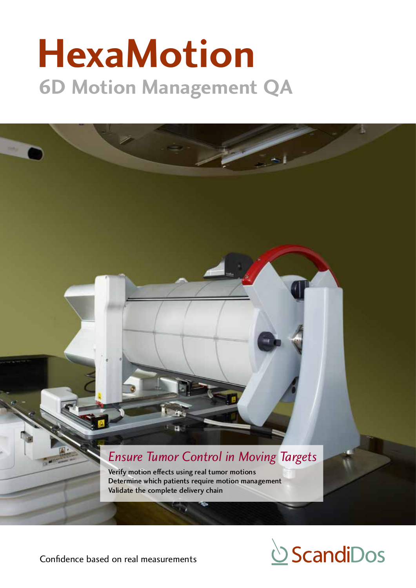# **HexaMotion**<br>6D Motion Management QA

#### *Ensure Tumor Control in Moving Targets*

**Verify motion effects using real tumor motions Verify motion effects using real tumor motions** Verify motion effects using real tumor motions **Determine which patients require motion management Validate the complete delivery chain** Validate the complete delivery chainDetermine which patients require motion management



Confidence based on real measurements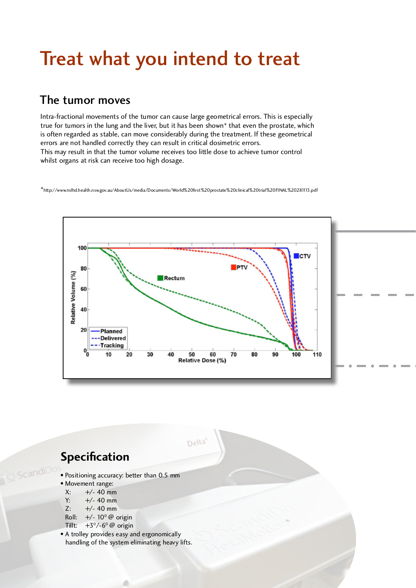## Treat what you intend to treat Treat what you intend to treat

true for tumors in the lung and the liver, but it has been shown<sup>\*</sup> that even the prostate, which<br>is often regarded as stable, can move considerably during the treatment. If these geometrical is often regarded as stable, can move considerably during the treatment. If these geometrical is often regarded as stable, can move considerably during the treatment. If these geometrical errors are not handled correctly they can result in critical dosimetric errors. The tumor moves<br>Intra-fractional movements of the tumor can cause large geometrical errors. This is especially This may result in that the tumor volume receives too The tumor moves in the tumor moves in the tumor moves in the tumor moves in the tumor moves in the tumor moves in the tumor moves in the tumor moves in the tumor moves in the tumor moves in the tumor moves in the tumor mov

This may result in that the tumor volume receives too little dose to achieve tumor control whilst organs at risk can receive too high dosage. whilst organs at risk can receive too high dosage  $\sigma$ 

\*http://www.nslhd.health.nsw.gov.au/AboutUs/media/Documents/World%20first%20prostate%20clinical%20trial%20FINAL%20281113.pdf



Delta

## Specification **Specification**

- Positioning accuracy: better than 0.5 mm Positioning accuracy: better than 0.5 mm
- Positioning accuracy

 $\delta$  Scandi $\delta$ 

- Movement range: Movement range:
- $X: \frac{17 40 \text{ min}}{40 \text{ mm}}$
- $\frac{1}{7}$ :  $\frac{1}{40}$  mm

handling of the system eliminating heavy lifts.

- $Z: 1/7 + 10$  mm Roll:  $+/-$  10°  $\omega$  origin<br>Tillt:  $+7^{0}/\_6^{0}$  origin
- Roll: +/- 100 @ origin
- Tillt: +3°/-6° @ origin<br>
A trolley provides easy and • A trolley provides easy and ergonomically<br>handling of the system eliminating heavy lifts handling of the system eliminating heavy lifts. handling of the system eliminating heavy lifts.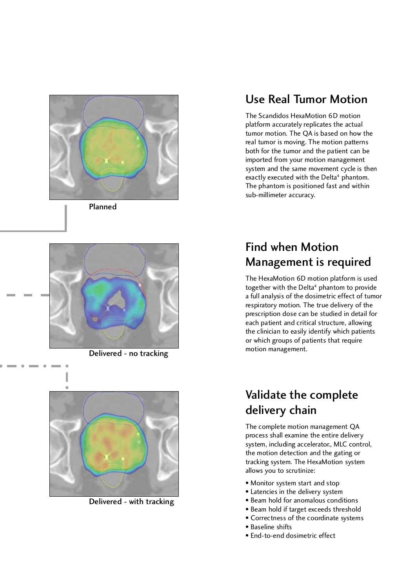

Planned



Delivered - no tracking



•

•

•

Delivered - with tracking

## **Use Real Tumor Motion**<br>The Scandidos HexaMotion 6D motion

platform accurately replicates the actual tumor motion. The QA is based on how the real tumor is moving. The motion patterns both for the tumor and the patient can be imported from your motion management system and the same movement cycle is then system and the same movement cycle is then exactly executed with the Delta r' phantom.<br>Candivithin The phantom is positioned fast and within sub-millimeter accuracy.

### Find when Motion Management is required

The Hexamotion 6D motion platform is used a full analysis of the dosimetric effect of tumor phantom to provide<br>in this effect of tunes respiratory motion. The true delivery of the prescription dose can be studied in detail for each patient and critical structure, allowing the clinician to easily identify which patients the emilitan to easily identify which patients or which groups of patients that require motion management.

## Validate the complete **delivery chain**<br>The complete motion management QA

process shall examine the entire delivery system, including accelerator., MLC control, the motion detection and the gating or the motion detection and the gating or tracking system. The HexaMotion system allows you to scrutinize:

- 
- Monitor system start and stop<br>• Latencies in the delivery system
- Beam hold for anomalous conditions
- Beam hold if target exceeds threshold
- Beam hold if target executs threshold • Correctness of the coordinate systems
- 
- Baseline shifts • End-to-end dosimetric effect